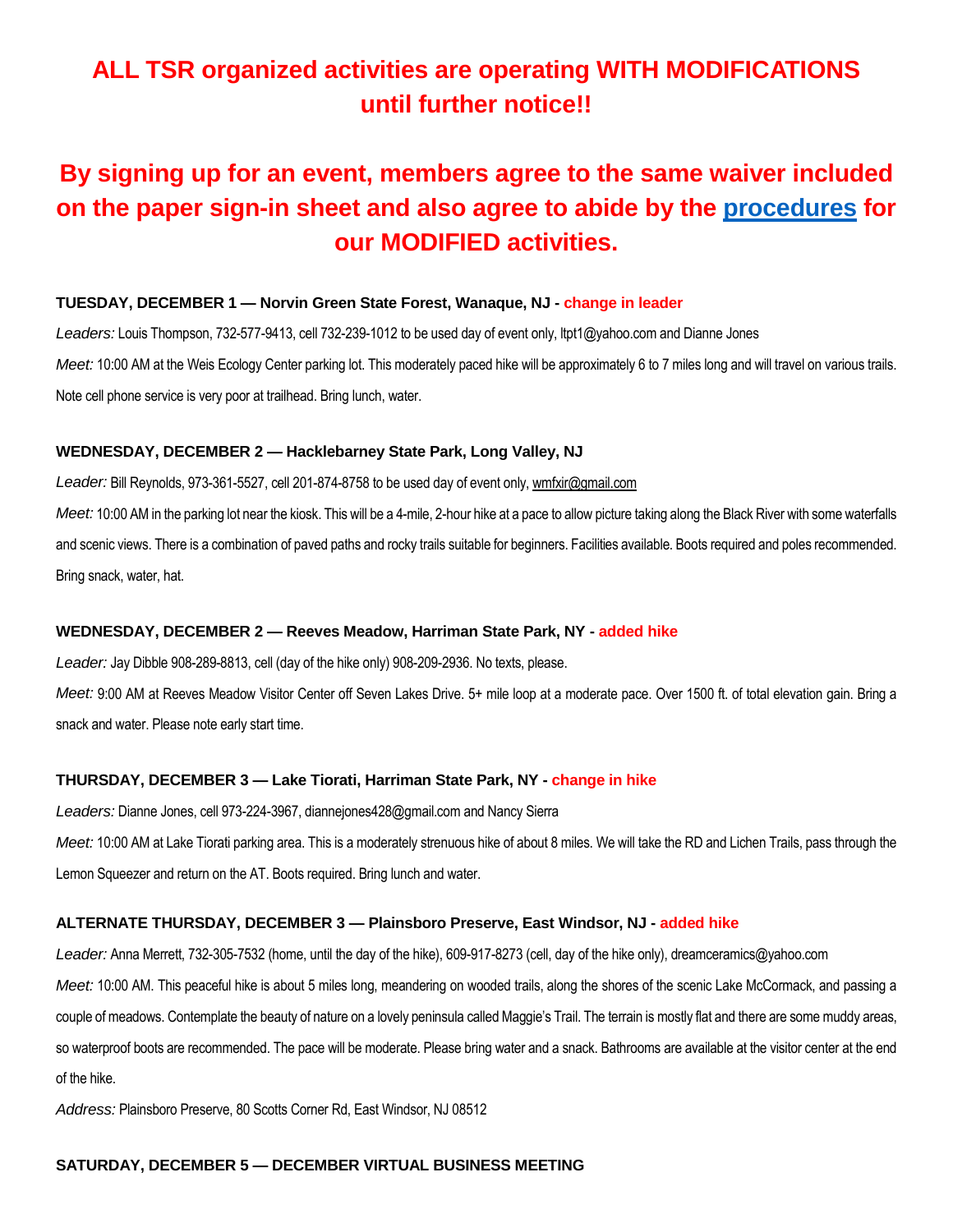# **ALL TSR organized activities are operating WITH MODIFICATIONS until further notice!!**

# **By signing up for an event, members agree to the same waiver included on the paper sign-in sheet and also agree to abide by the [procedures](https://5a563b5d-c9a2-443f-a97b-1fb65c38494e.usrfiles.com/ugd/5a563b_c4edec927985401797627aaf6c0458c8.pdf) for our MODIFIED activities.**

## **TUESDAY, DECEMBER 1 — Norvin Green State Forest, Wanaque, NJ - change in leader**

*Leaders:* Louis Thompson, 732-577-9413, cell 732-239-1012 to be used day of event only, ltpt1@yahoo.com and Dianne Jones *Meet:* 10:00 AM at the Weis Ecology Center parking lot. This moderately paced hike will be approximately 6 to 7 miles long and will travel on various trails. Note cell phone service is very poor at trailhead. Bring lunch, water.

#### **WEDNESDAY, DECEMBER 2 — Hacklebarney State Park, Long Valley, NJ**

*Leader:* Bill Reynolds, 973-361-5527, cell 201-874-8758 to be used day of event only, wmfxir@gmail.com *Meet:* 10:00 AM in the parking lot near the kiosk. This will be a 4-mile, 2-hour hike at a pace to allow picture taking along the Black River with some waterfalls and scenic views. There is a combination of paved paths and rocky trails suitable for beginners. Facilities available. Boots required and poles recommended. Bring snack, water, hat.

#### **WEDNESDAY, DECEMBER 2 — Reeves Meadow, Harriman State Park, NY - added hike**

*Leader:* Jay Dibble 908-289-8813, cell (day of the hike only) 908-209-2936. No texts, please.

*Meet:* 9:00 AM at Reeves Meadow Visitor Center off Seven Lakes Drive. 5+ mile loop at a moderate pace. Over 1500 ft. of total elevation gain. Bring a snack and water. Please note early start time.

#### **THURSDAY, DECEMBER 3 — Lake Tiorati, Harriman State Park, NY - change in hike**

*Leaders:* Dianne Jones, cell 973-224-3967, diannejones428@gmail.com and Nancy Sierra

*Meet:* 10:00 AM at Lake Tiorati parking area. This is a moderately strenuous hike of about 8 miles. We will take the RD and Lichen Trails, pass through the Lemon Squeezer and return on the AT. Boots required. Bring lunch and water.

#### **ALTERNATE THURSDAY, DECEMBER 3 — Plainsboro Preserve, East Windsor, NJ - added hike**

*Leader:* Anna Merrett, 732-305-7532 (home, until the day of the hike), 609-917-8273 (cell, day of the hike only), dreamceramics@yahoo.com *Meet:* 10:00 AM. This peaceful hike is about 5 miles long, meandering on wooded trails, along the shores of the scenic Lake McCormack, and passing a couple of meadows. Contemplate the beauty of nature on a lovely peninsula called Maggie's Trail. The terrain is mostly flat and there are some muddy areas, so waterproof boots are recommended. The pace will be moderate. Please bring water and a snack. Bathrooms are available at the visitor center at the end of the hike.

*Address:* Plainsboro Preserve, 80 Scotts Corner Rd, East Windsor, NJ 08512

#### **SATURDAY, DECEMBER 5 — DECEMBER VIRTUAL BUSINESS MEETING**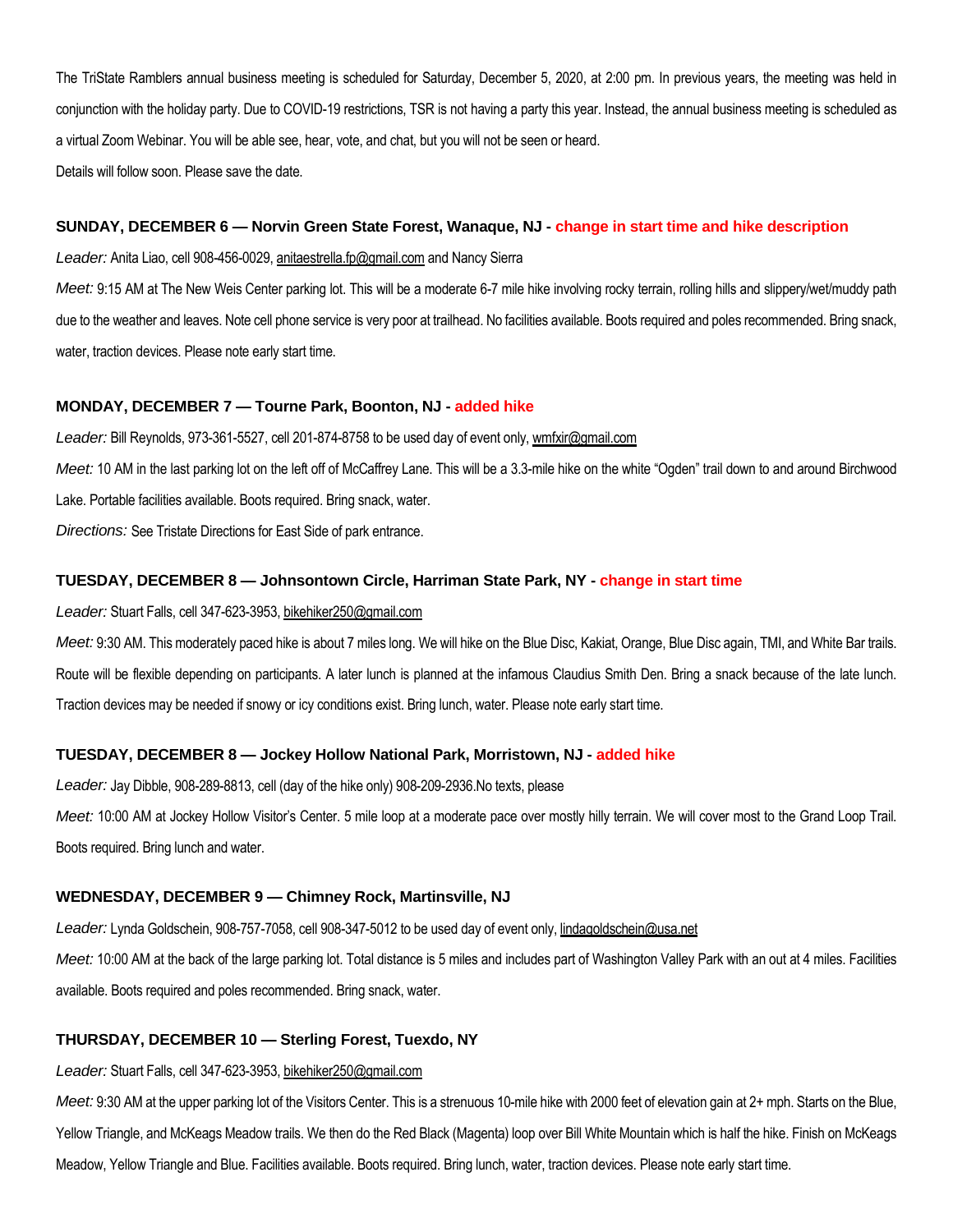The TriState Ramblers annual business meeting is scheduled for Saturday, December 5, 2020, at 2:00 pm. In previous years, the meeting was held in conjunction with the holiday party. Due to COVID-19 restrictions, TSR is not having a party this year. Instead, the annual business meeting is scheduled as a virtual Zoom Webinar. You will be able see, hear, vote, and chat, but you will not be seen or heard. Details will follow soon. Please save the date.

#### **SUNDAY, DECEMBER 6 — Norvin Green State Forest, Wanaque, NJ - change in start time and hike description**

*Leader:* Anita Liao, cell 908-456-0029, anitaestrella.fp@gmail.com and Nancy Sierra

Meet: 9:15 AM at The New Weis Center parking lot. This will be a moderate 6-7 mile hike involving rocky terrain, rolling hills and slippery/wet/muddy path due to the weather and leaves. Note cell phone service is very poor at trailhead. No facilities available. Boots required and poles recommended. Bring snack, water, traction devices. Please note early start time.

#### **MONDAY, DECEMBER 7 — Tourne Park, Boonton, NJ - added hike**

*Leader:* Bill Reynolds, 973-361-5527, cell 201-874-8758 to be used day of event only, wmfxir@gmail.com *Meet:* 10 AM in the last parking lot on the left off of McCaffrey Lane. This will be a 3.3-mile hike on the white "Ogden" trail down to and around Birchwood Lake. Portable facilities available. Boots required. Bring snack, water. *Directions:* See Tristate Directions for East Side of park entrance.

#### **TUESDAY, DECEMBER 8 — Johnsontown Circle, Harriman State Park, NY - change in start time**

#### *Leader:* Stuart Falls, cell 347-623-3953, bikehiker250@gmail.com

*Meet:* 9:30 AM. This moderately paced hike is about 7 miles long. We will hike on the Blue Disc, Kakiat, Orange, Blue Disc again, TMI, and White Bar trails. Route will be flexible depending on participants. A later lunch is planned at the infamous Claudius Smith Den. Bring a snack because of the late lunch. Traction devices may be needed if snowy or icy conditions exist. Bring lunch, water. Please note early start time.

#### **TUESDAY, DECEMBER 8 — Jockey Hollow National Park, Morristown, NJ - added hike**

*Leader:* Jay Dibble, 908-289-8813, cell (day of the hike only) 908-209-2936.No texts, please

*Meet:* 10:00 AM at Jockey Hollow Visitor's Center. 5 mile loop at a moderate pace over mostly hilly terrain. We will cover most to the Grand Loop Trail. Boots required. Bring lunch and water.

#### **WEDNESDAY, DECEMBER 9 — Chimney Rock, Martinsville, NJ**

*Leader:* Lynda Goldschein, 908-757-7058, cell 908-347-5012 to be used day of event only, lindagoldschein@usa.net

*Meet:* 10:00 AM at the back of the large parking lot. Total distance is 5 miles and includes part of Washington Valley Park with an out at 4 miles. Facilities available. Boots required and poles recommended. Bring snack, water.

#### **THURSDAY, DECEMBER 10 — Sterling Forest, Tuexdo, NY**

#### *Leader:* Stuart Falls, cell 347-623-3953, bikehiker250@gmail.com

Meet: 9:30 AM at the upper parking lot of the Visitors Center. This is a strenuous 10-mile hike with 2000 feet of elevation gain at 2+ mph. Starts on the Blue, Yellow Triangle, and McKeags Meadow trails. We then do the Red Black (Magenta) loop over Bill White Mountain which is half the hike. Finish on McKeags Meadow, Yellow Triangle and Blue. Facilities available. Boots required. Bring lunch, water, traction devices. Please note early start time.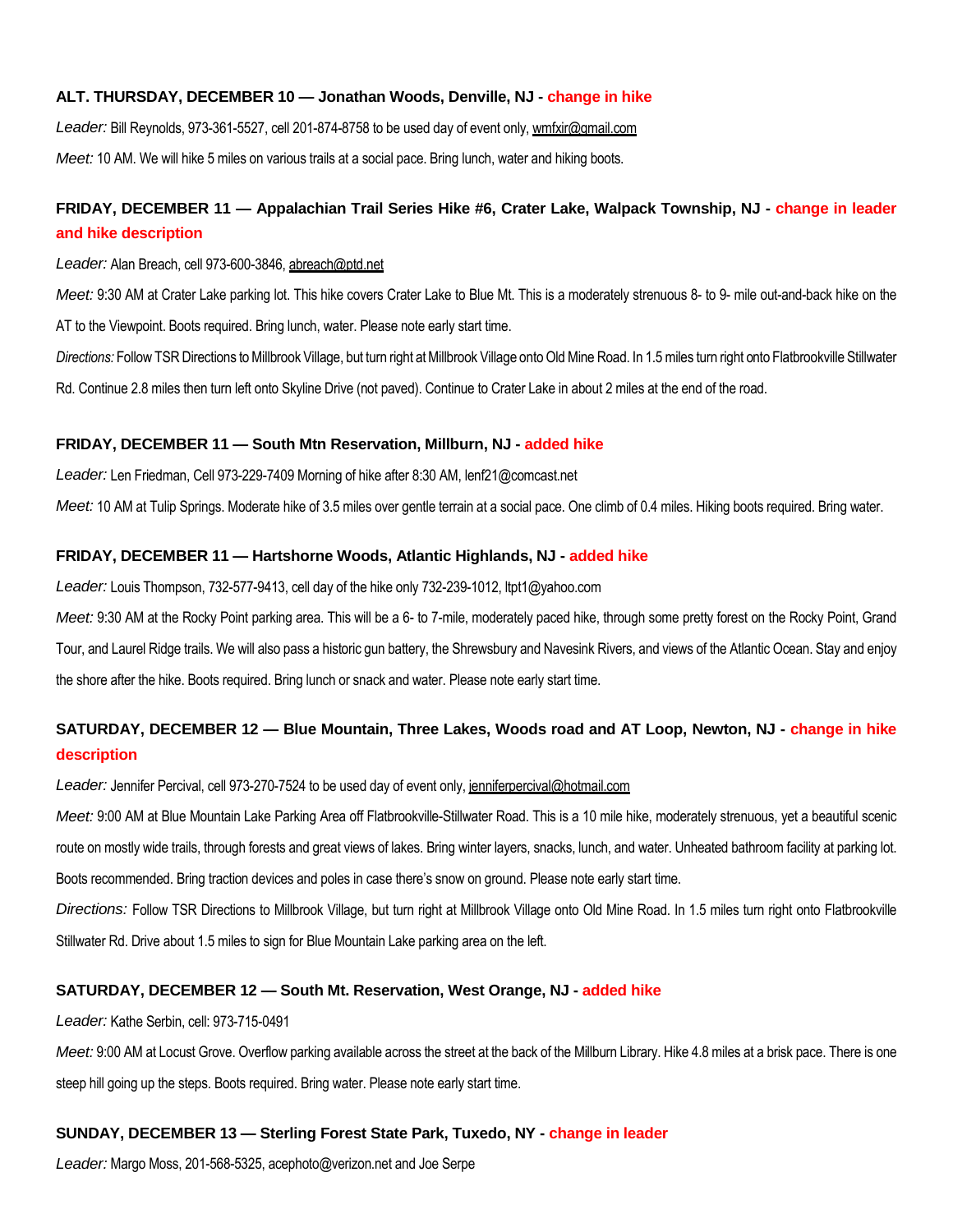### **ALT. THURSDAY, DECEMBER 10 — Jonathan Woods, Denville, NJ - change in hike**

Leader: Bill Reynolds, 973-361-5527, cell 201-874-8758 to be used day of event only, wmfxir@gmail.com

*Meet:* 10 AM. We will hike 5 miles on various trails at a social pace. Bring lunch, water and hiking boots.

# **FRIDAY, DECEMBER 11 — Appalachian Trail Series Hike #6, Crater Lake, Walpack Township, NJ - change in leader and hike description**

## *Leader:* Alan Breach, cell 973-600-3846, abreach@ptd.net

*Meet:* 9:30 AM at Crater Lake parking lot. This hike covers Crater Lake to Blue Mt. This is a moderately strenuous 8- to 9- mile out-and-back hike on the AT to the Viewpoint. Boots required. Bring lunch, water. Please note early start time.

*Directions:* Follow TSR Directions to Millbrook Village, but turn right at Millbrook Village onto Old Mine Road. In 1.5 miles turn right onto Flatbrookville Stillwater Rd. Continue 2.8 miles then turn left onto Skyline Drive (not paved). Continue to Crater Lake in about 2 miles at the end of the road.

## **FRIDAY, DECEMBER 11 — South Mtn Reservation, Millburn, NJ - added hike**

*Leader:* Len Friedman, Cell 973-229-7409 Morning of hike after 8:30 AM, lenf21@comcast.net

*Meet:* 10 AM at Tulip Springs. Moderate hike of 3.5 miles over gentle terrain at a social pace. One climb of 0.4 miles. Hiking boots required. Bring water.

## **FRIDAY, DECEMBER 11 — Hartshorne Woods, Atlantic Highlands, NJ - added hike**

*Leader:* Louis Thompson, 732-577-9413, cell day of the hike only 732-239-1012, ltpt1@yahoo.com

*Meet:* 9:30 AM at the Rocky Point parking area. This will be a 6- to 7-mile, moderately paced hike, through some pretty forest on the Rocky Point, Grand Tour, and Laurel Ridge trails. We will also pass a historic gun battery, the Shrewsbury and Navesink Rivers, and views of the Atlantic Ocean. Stay and enjoy the shore after the hike. Boots required. Bring lunch or snack and water. Please note early start time.

# **SATURDAY, DECEMBER 12 — Blue Mountain, Three Lakes, Woods road and AT Loop, Newton, NJ - change in hike description**

Leader: Jennifer Percival, cell 973-270-7524 to be used day of event only, jenniferpercival@hotmail.com

*Meet:* 9:00 AM at Blue Mountain Lake Parking Area off Flatbrookville-Stillwater Road. This is a 10 mile hike, moderately strenuous, yet a beautiful scenic route on mostly wide trails, through forests and great views of lakes. Bring winter layers, snacks, lunch, and water. Unheated bathroom facility at parking lot. Boots recommended. Bring traction devices and poles in case there's snow on ground. Please note early start time.

*Directions:* Follow TSR Directions to Millbrook Village, but turn right at Millbrook Village onto Old Mine Road. In 1.5 miles turn right onto Flatbrookville Stillwater Rd. Drive about 1.5 miles to sign for Blue Mountain Lake parking area on the left.

## **SATURDAY, DECEMBER 12 — South Mt. Reservation, West Orange, NJ - added hike**

## *Leader:* Kathe Serbin, cell: 973-715-0491

*Meet:* 9:00 AM at Locust Grove. Overflow parking available across the street at the back of the Millburn Library. Hike 4.8 miles at a brisk pace. There is one steep hill going up the steps. Boots required. Bring water. Please note early start time.

## **SUNDAY, DECEMBER 13 — Sterling Forest State Park, Tuxedo, NY - change in leader**

*Leader:* Margo Moss, 201-568-5325, acephoto@verizon.net and Joe Serpe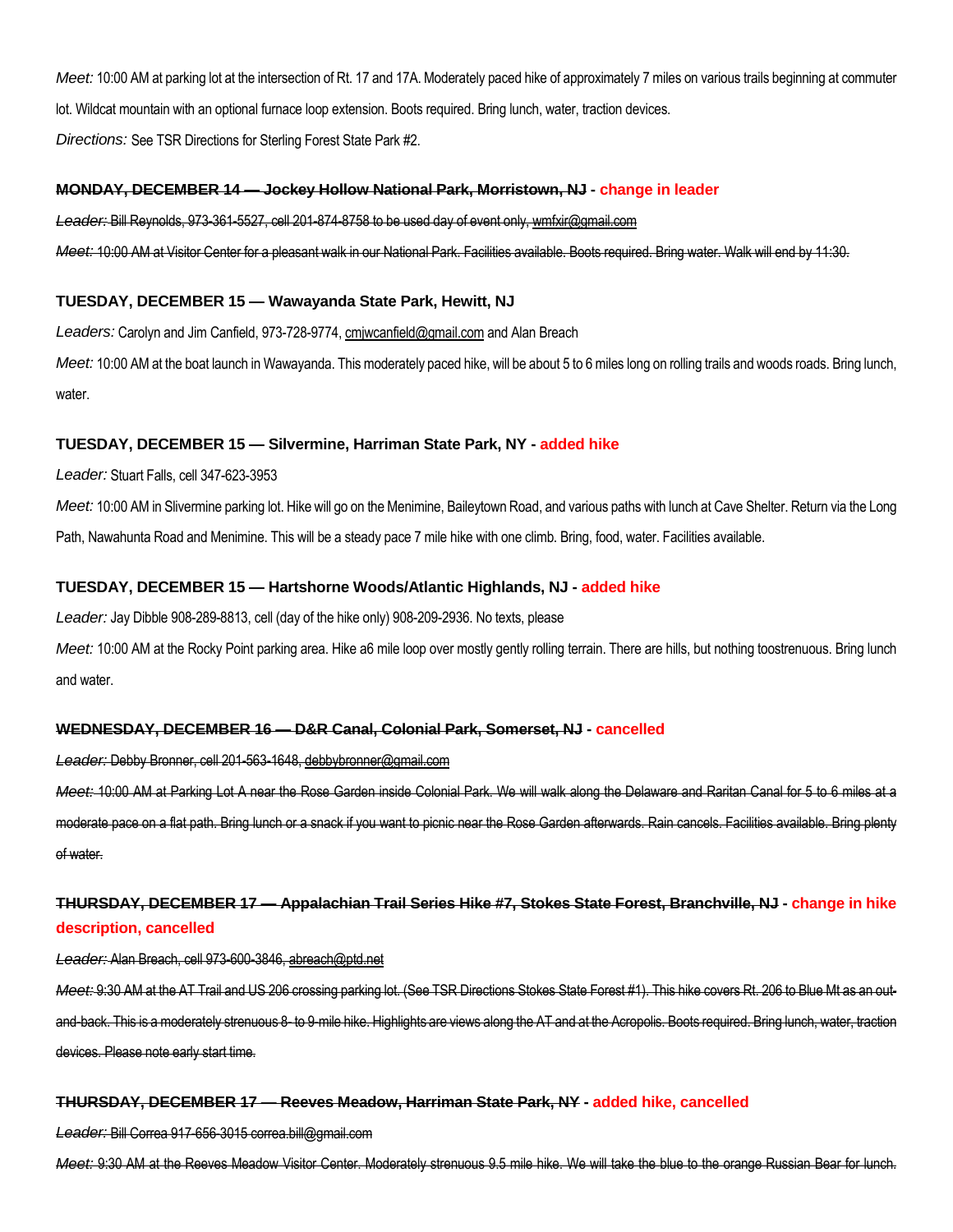*Meet:* 10:00 AM at parking lot at the intersection of Rt. 17 and 17A. Moderately paced hike of approximately 7 miles on various trails beginning at commuter lot. Wildcat mountain with an optional furnace loop extension. Boots required. Bring lunch, water, traction devices.

*Directions:* See TSR Directions for Sterling Forest State Park #2.

#### **MONDAY, DECEMBER 14 — Jockey Hollow National Park, Morristown, NJ - change in leader**

*Leader:* Bill Reynolds, 973-361-5527, cell 201-874-8758 to be used day of event only, wmfxir@gmail.com

*Meet:* 10:00 AM at Visitor Center for a pleasant walk in our National Park. Facilities available. Boots required. Bring water. Walk will end by 11:30.

#### **TUESDAY, DECEMBER 15 — Wawayanda State Park, Hewitt, NJ**

Leaders: Carolyn and Jim Canfield, 973-728-9774, cmiwcanfield@gmail.com and Alan Breach

*Meet:* 10:00 AM at the boat launch in Wawayanda. This moderately paced hike, will be about 5 to 6 miles long on rolling trails and woods roads. Bring lunch, water.

#### **TUESDAY, DECEMBER 15 — Silvermine, Harriman State Park, NY - added hike**

*Leader:* Stuart Falls, cell 347-623-3953

*Meet:* 10:00 AM in Slivermine parking lot. Hike will go on the Menimine, Baileytown Road, and various paths with lunch at Cave Shelter. Return via the Long Path, Nawahunta Road and Menimine. This will be a steady pace 7 mile hike with one climb. Bring, food, water. Facilities available.

## **TUESDAY, DECEMBER 15 — Hartshorne Woods/Atlantic Highlands, NJ - added hike**

*Leader:* Jay Dibble 908-289-8813, cell (day of the hike only) 908-209-2936. No texts, please

Meet: 10:00 AM at the Rocky Point parking area. Hike a6 mile loop over mostly gently rolling terrain. There are hills, but nothing toostrenuous. Bring lunch and water.

## **WEDNESDAY, DECEMBER 16 — D&R Canal, Colonial Park, Somerset, NJ - cancelled**

*Leader:* Debby Bronner, cell 201-563-1648, debbybronner@gmail.com

*Meet:* 10:00 AM at Parking Lot A near the Rose Garden inside Colonial Park. We will walk along the Delaware and Raritan Canal for 5 to 6 miles at a moderate pace on a flat path. Bring lunch or a snack if you want to picnic near the Rose Garden afterwards. Rain cancels. Facilities available. Bring plenty of water.

## **THURSDAY, DECEMBER 17 — Appalachian Trail Series Hike #7, Stokes State Forest, Branchville, NJ - change in hike description, cancelled**

*Leader:* Alan Breach, cell 973-600-3846, abreach@ptd.net

*Meet:* 9:30 AM at the AT Trail and US 206 crossing parking lot. (See TSR Directions Stokes State Forest #1). This hike covers Rt. 206 to Blue Mt as an outand-back. This is a moderately strenuous 8- to 9-mile hike. Highlights are views along the AT and at the Acropolis. Boots required. Bring lunch, water, traction devices. Please note early start time.

#### **THURSDAY, DECEMBER 17 — Reeves Meadow, Harriman State Park, NY - added hike, cancelled**

*Leader:* Bill Correa 917-656-3015 correa.bill@gmail.com

*Meet:* 9:30 AM at the Reeves Meadow Visitor Center. Moderately strenuous 9.5 mile hike. We will take the blue to the orange Russian Bear for lunch.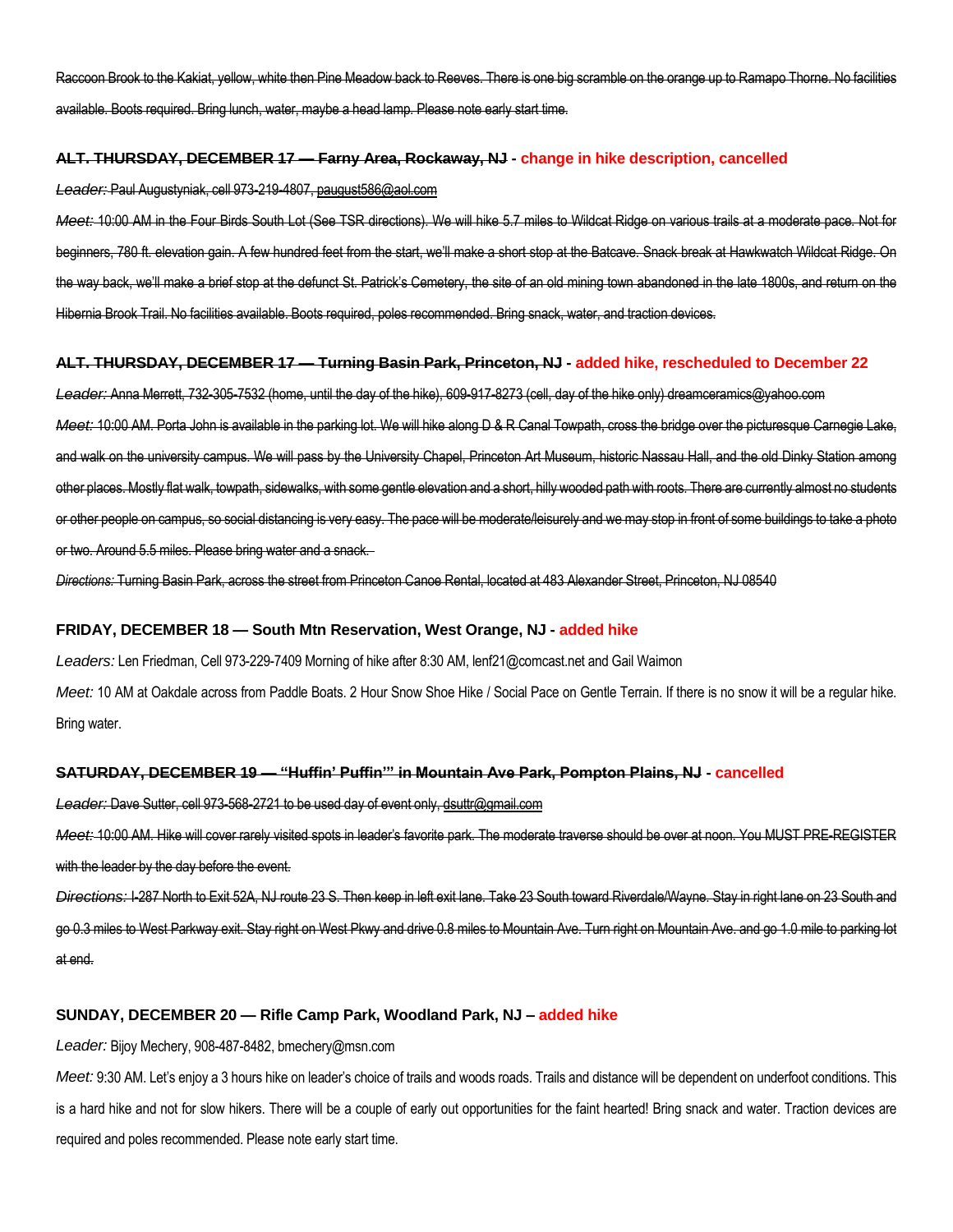Raccoon Brook to the Kakiat, yellow, white then Pine Meadow back to Reeves. There is one big scramble on the orange up to Ramapo Thorne. No facilities available. Boots required. Bring lunch, water, maybe a head lamp. Please note early start time.

#### **ALT. THURSDAY, DECEMBER 17 — Farny Area, Rockaway, NJ - change in hike description, cancelled**

*Leader:* Paul Augustyniak, cell 973-219-4807, paugust586@aol.com

*Meet:* 10:00 AM in the Four Birds South Lot (See TSR directions). We will hike 5.7 miles to Wildcat Ridge on various trails at a moderate pace. Not for beginners, 780 ft. elevation gain. A few hundred feet from the start, we'll make a short stop at the Batcave. Snack break at Hawkwatch Wildcat Ridge. On the way back, we'll make a brief stop at the defunct St. Patrick's Cemetery, the site of an old mining town abandoned in the late 1800s, and return on the Hibernia Brook Trail. No facilities available. Boots required, poles recommended. Bring snack, water, and traction devices.

#### **ALT. THURSDAY, DECEMBER 17 — Turning Basin Park, Princeton, NJ - added hike, rescheduled to December 22**

*Leader:* Anna Merrett, 732-305-7532 (home, until the day of the hike), 609-917-8273 (cell, day of the hike only) dreamceramics@yahoo.com *Meet:* 10:00 AM. Porta John is available in the parking lot. We will hike along D & R Canal Towpath, cross the bridge over the picturesque Carnegie Lake, and walk on the university campus. We will pass by the University Chapel, Princeton Art Museum, historic Nassau Hall, and the old Dinky Station among other places. Mostly flat walk, towpath, sidewalks, with some gentle elevation and a short, hilly wooded path with roots. There are currently almost no students or other people on campus, so social distancing is very easy. The pace will be moderate/leisurely and we may stop in front of some buildings to take a photo or two. Around 5.5 miles. Please bring water and a snack.

*Directions:* Turning Basin Park, across the street from Princeton Canoe Rental, located at 483 Alexander Street, Princeton, NJ 08540

## **FRIDAY, DECEMBER 18 — South Mtn Reservation, West Orange, NJ - added hike**

*Leaders:* Len Friedman, Cell 973-229-7409 Morning of hike after 8:30 AM, lenf21@comcast.net and Gail Waimon *Meet:* 10 AM at Oakdale across from Paddle Boats. 2 Hour Snow Shoe Hike / Social Pace on Gentle Terrain. If there is no snow it will be a regular hike. Bring water.

#### **SATURDAY, DECEMBER 19 — "Huffin' Puffin'" in Mountain Ave Park, Pompton Plains, NJ - cancelled**

*Leader:* Dave Sutter, cell 973-568-2721 to be used day of event only, dsuttr@gmail.com

*Meet:* 10:00 AM. Hike will cover rarely visited spots in leader's favorite park. The moderate traverse should be over at noon. You MUST PRE-REGISTER with the leader by the day before the event.

*Directions:* I-287 North to Exit 52A, NJ route 23 S. Then keep in left exit lane. Take 23 South toward Riverdale/Wayne. Stay in right lane on 23 South and go 0.3 miles to West Parkway exit. Stay right on West Pkwy and drive 0.8 miles to Mountain Ave. Turn right on Mountain Ave. and go 1.0 mile to parking lot at end.

## **SUNDAY, DECEMBER 20 — Rifle Camp Park, Woodland Park, NJ – added hike**

*Leader:* Bijoy Mechery, 908-487-8482, bmechery@msn.com

Meet: 9:30 AM. Let's enjoy a 3 hours hike on leader's choice of trails and woods roads. Trails and distance will be dependent on underfoot conditions. This is a hard hike and not for slow hikers. There will be a couple of early out opportunities for the faint hearted! Bring snack and water. Traction devices are required and poles recommended. Please note early start time.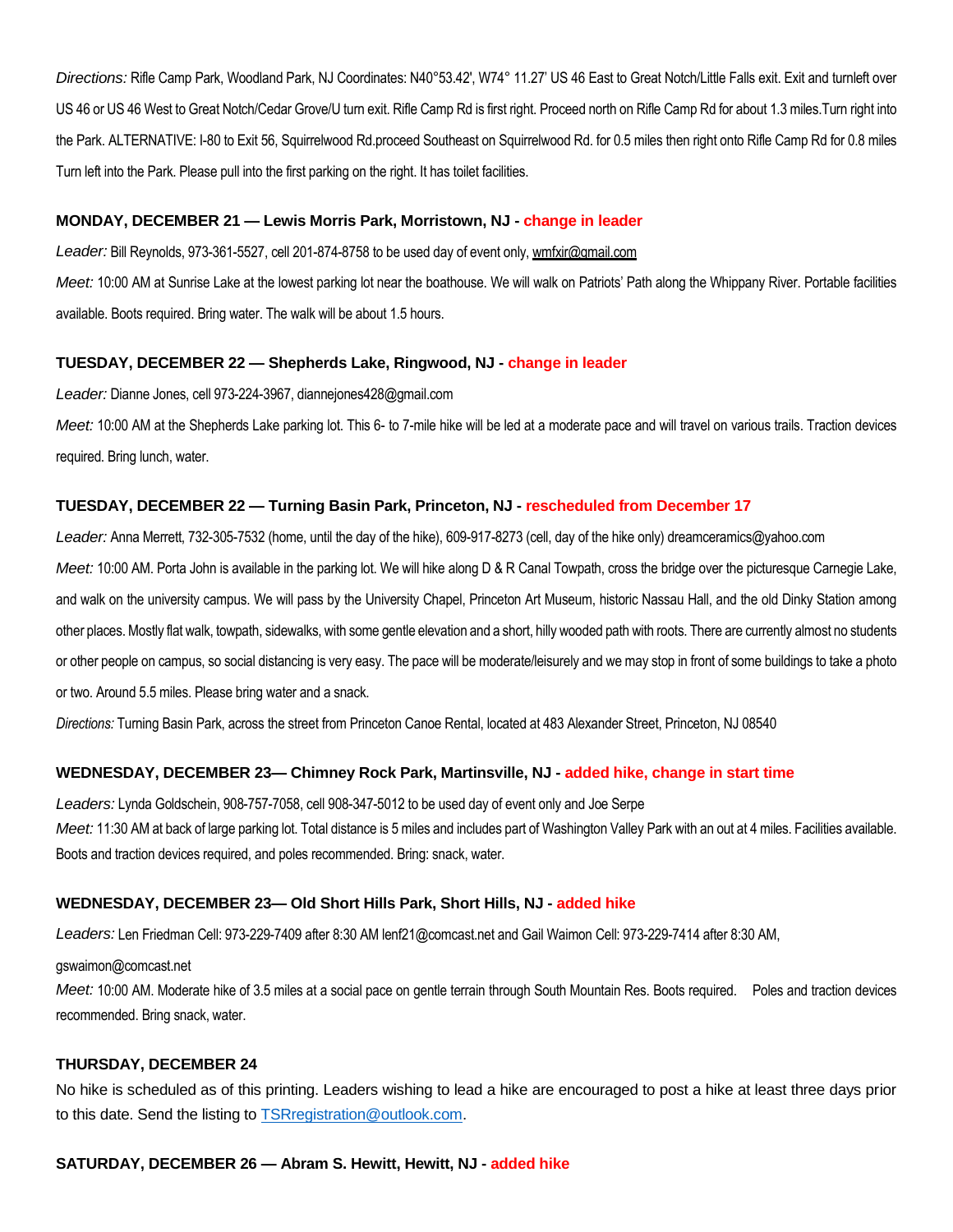*Directions:* Rifle Camp Park, Woodland Park, NJ Coordinates: N40°53.42', W74° 11.27' US 46 East to Great Notch/Little Falls exit. Exit and turnleft over US 46 or US 46 West to Great Notch/Cedar Grove/U turn exit. Rifle Camp Rd is first right. Proceed north on Rifle Camp Rd for about 1.3 miles.Turn right into the Park. ALTERNATIVE: I-80 to Exit 56, Squirrelwood Rd.proceed Southeast on Squirrelwood Rd. for 0.5 miles then right onto Rifle Camp Rd for 0.8 miles Turn left into the Park. Please pull into the first parking on the right. It has toilet facilities.

## **MONDAY, DECEMBER 21 — Lewis Morris Park, Morristown, NJ - change in leader**

*Leader:* Bill Reynolds, 973-361-5527, cell 201-874-8758 to be used day of event only, wmfxir@gmail.com

*Meet:* 10:00 AM at Sunrise Lake at the lowest parking lot near the boathouse. We will walk on Patriots' Path along the Whippany River. Portable facilities available. Boots required. Bring water. The walk will be about 1.5 hours.

#### **TUESDAY, DECEMBER 22 — Shepherds Lake, Ringwood, NJ - change in leader**

*Leader:* Dianne Jones, cell 973-224-3967, diannejones428@gmail.com

*Meet:* 10:00 AM at the Shepherds Lake parking lot. This 6- to 7-mile hike will be led at a moderate pace and will travel on various trails. Traction devices required. Bring lunch, water.

## **TUESDAY, DECEMBER 22 — Turning Basin Park, Princeton, NJ - rescheduled from December 17**

*Leader:* Anna Merrett, 732-305-7532 (home, until the day of the hike), 609-917-8273 (cell, day of the hike only) dreamceramics@yahoo.com *Meet:* 10:00 AM. Porta John is available in the parking lot. We will hike along D & R Canal Towpath, cross the bridge over the picturesque Carnegie Lake, and walk on the university campus. We will pass by the University Chapel, Princeton Art Museum, historic Nassau Hall, and the old Dinky Station among other places. Mostly flat walk, towpath, sidewalks, with some gentle elevation and a short, hilly wooded path with roots. There are currently almost no students or other people on campus, so social distancing is very easy. The pace will be moderate/leisurely and we may stop in front of some buildings to take a photo or two. Around 5.5 miles. Please bring water and a snack.

*Directions:* Turning Basin Park, across the street from Princeton Canoe Rental, located at 483 Alexander Street, Princeton, NJ 08540

## **WEDNESDAY, DECEMBER 23— Chimney Rock Park, Martinsville, NJ - added hike, change in start time**

*Leaders:* Lynda Goldschein, 908-757-7058, cell 908-347-5012 to be used day of event only and Joe Serpe Meet: 11:30 AM at back of large parking lot. Total distance is 5 miles and includes part of Washington Valley Park with an out at 4 miles. Facilities available. Boots and traction devices required, and poles recommended. Bring: snack, water.

## **WEDNESDAY, DECEMBER 23— Old Short Hills Park, Short Hills, NJ - added hike**

*Leaders:* Len Friedman Cell: 973-229-7409 after 8:30 AM lenf21@comcast.net and Gail Waimon Cell: 973-229-7414 after 8:30 AM,

#### gswaimon@comcast.net

*Meet:* 10:00 AM. Moderate hike of 3.5 miles at a social pace on gentle terrain through South Mountain Res. Boots required. Poles and traction devices recommended. Bring snack, water.

## **THURSDAY, DECEMBER 24**

No hike is scheduled as of this printing. Leaders wishing to lead a hike are encouraged to post a hike at least three days prior to this date. Send the listing t[o TSRregistration@outlook.com.](mailto:TSRregistration@outlook.com)

## **SATURDAY, DECEMBER 26 — Abram S. Hewitt, Hewitt, NJ - added hike**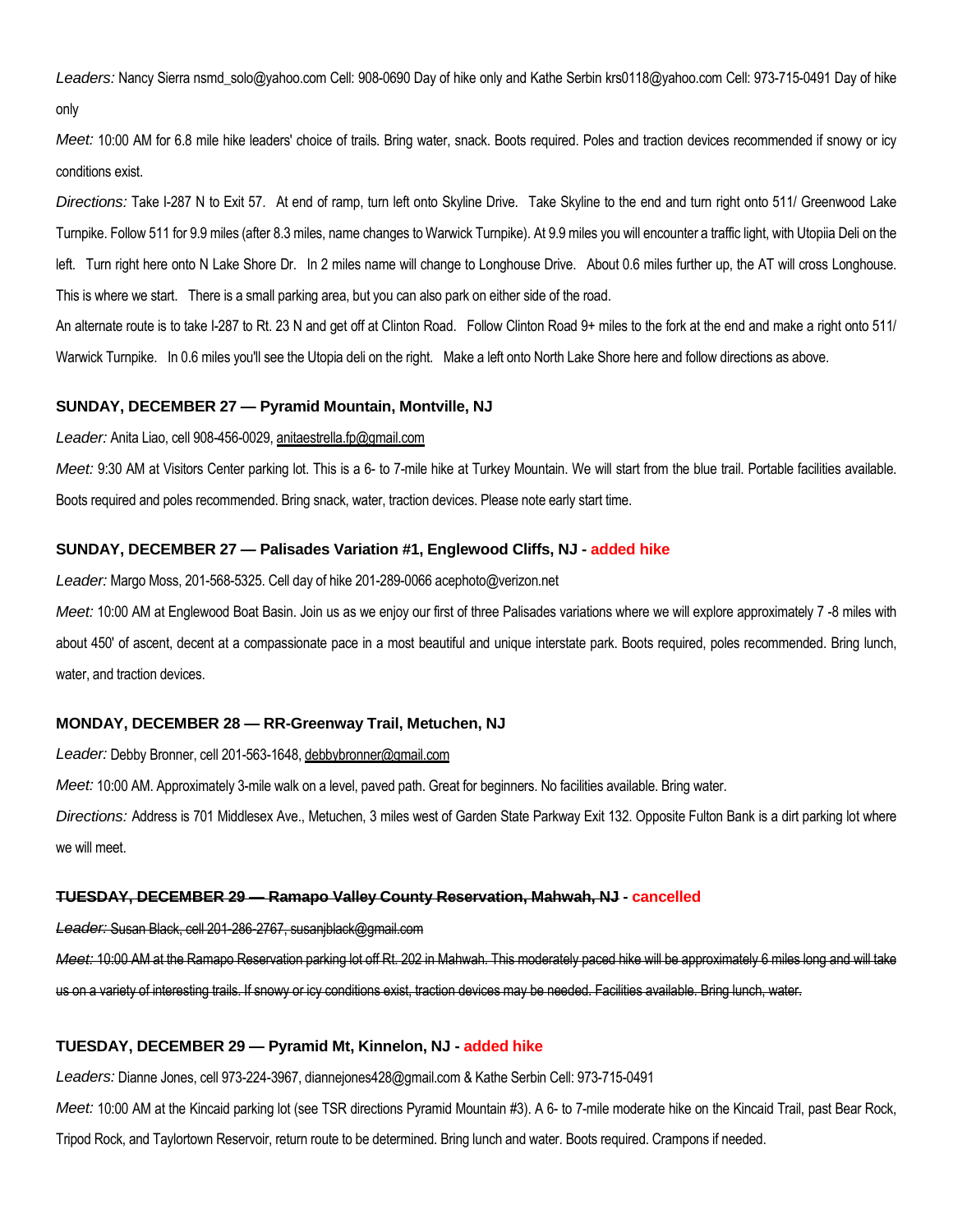*Leaders:* Nancy Sierra nsmd\_solo@yahoo.com Cell: 908-0690 Day of hike only and Kathe Serbin krs0118@yahoo.com Cell: 973-715-0491 Day of hike only

*Meet:* 10:00 AM for 6.8 mile hike leaders' choice of trails. Bring water, snack. Boots required. Poles and traction devices recommended if snowy or icy conditions exist.

*Directions:* Take I-287 N to Exit 57. At end of ramp, turn left onto Skyline Drive. Take Skyline to the end and turn right onto 511/ Greenwood Lake Turnpike. Follow 511 for 9.9 miles (after 8.3 miles, name changes to Warwick Turnpike). At 9.9 miles you will encounter a traffic light, with Utopiia Deli on the left. Turn right here onto N Lake Shore Dr. In 2 miles name will change to Longhouse Drive. About 0.6 miles further up, the AT will cross Longhouse. This is where we start. There is a small parking area, but you can also park on either side of the road.

An alternate route is to take I-287 to Rt. 23 N and get off at Clinton Road. Follow Clinton Road 9+ miles to the fork at the end and make a right onto 511/ Warwick Turnpike. In 0.6 miles you'll see the Utopia deli on the right. Make a left onto North Lake Shore here and follow directions as above.

#### **SUNDAY, DECEMBER 27 — Pyramid Mountain, Montville, NJ**

#### *Leader:* Anita Liao, cell 908-456-0029, anitaestrella.fp@gmail.com

Meet: 9:30 AM at Visitors Center parking lot. This is a 6- to 7-mile hike at Turkey Mountain. We will start from the blue trail. Portable facilities available. Boots required and poles recommended. Bring snack, water, traction devices. Please note early start time.

#### **SUNDAY, DECEMBER 27 — Palisades Variation #1, Englewood Cliffs, NJ - added hike**

*Leader:* Margo Moss, 201-568-5325. Cell day of hike 201-289-0066 acephoto@verizon.net

*Meet:* 10:00 AM at Englewood Boat Basin. Join us as we enjoy our first of three Palisades variations where we will explore approximately 7 -8 miles with about 450' of ascent, decent at a compassionate pace in a most beautiful and unique interstate park. Boots required, poles recommended. Bring lunch, water, and traction devices.

#### **MONDAY, DECEMBER 28 — RR-Greenway Trail, Metuchen, NJ**

*Leader:* Debby Bronner, cell 201-563-1648, debbybronner@gmail.com

*Meet:* 10:00 AM. Approximately 3-mile walk on a level, paved path. Great for beginners. No facilities available. Bring water.

*Directions:* Address is 701 Middlesex Ave., Metuchen, 3 miles west of Garden State Parkway Exit 132. Opposite Fulton Bank is a dirt parking lot where we will meet.

#### **TUESDAY, DECEMBER 29 — Ramapo Valley County Reservation, Mahwah, NJ - cancelled**

*Leader:* Susan Black, cell 201-286-2767, susanjblack@gmail.com

*Meet:* 10:00 AM at the Ramapo Reservation parking lot off Rt. 202 in Mahwah. This moderately paced hike will be approximately 6 miles long and will take us on a variety of interesting trails. If snowy or icy conditions exist, traction devices may be needed. Facilities available. Bring lunch, water.

#### **TUESDAY, DECEMBER 29 — Pyramid Mt, Kinnelon, NJ - added hike**

*Leaders:* Dianne Jones, cell 973-224-3967, diannejones428@gmail.com & Kathe Serbin Cell: 973-715-0491

*Meet:* 10:00 AM at the Kincaid parking lot (see TSR directions Pyramid Mountain #3). A 6- to 7-mile moderate hike on the Kincaid Trail, past Bear Rock,

Tripod Rock, and Taylortown Reservoir, return route to be determined. Bring lunch and water. Boots required. Crampons if needed.